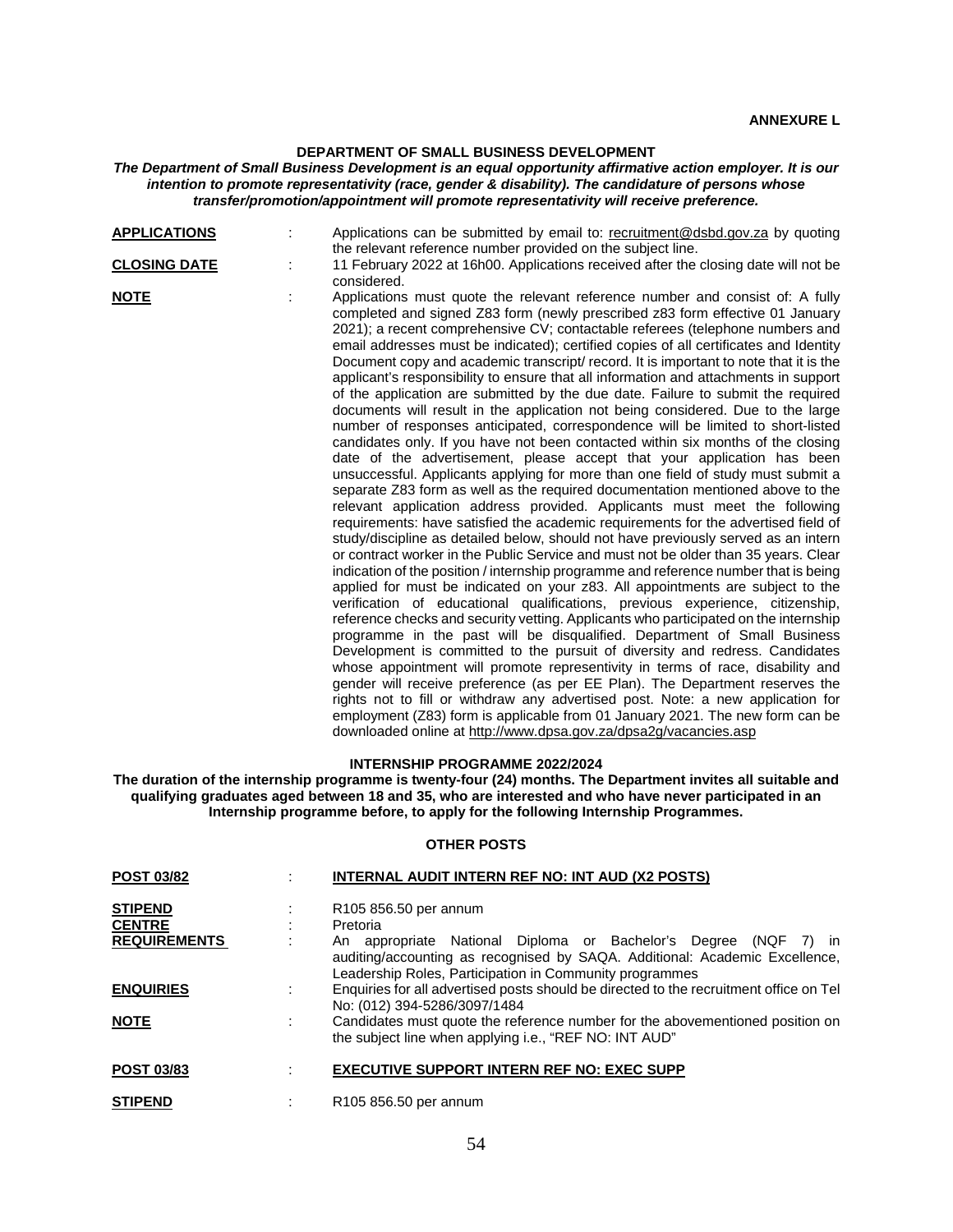## **DEPARTMENT OF SMALL BUSINESS DEVELOPMENT**

## *The Department of Small Business Development is an equal opportunity affirmative action employer. It is our intention to promote representativity (race, gender & disability). The candidature of persons whose transfer/promotion/appointment will promote representativity will receive preference.*

| <b>APPLICATIONS</b> | Applications can be submitted by email to: recruitment@dsbd.gov.za by quoting<br>the relevant reference number provided on the subject line.                                                                                                                                                                                                                                                                                                                                                                                                                                                                                                                                                                                                                                                                                                                                                                                                                                                                                                                                                                                                                                                                                                                                                                                                                                                                                                                                                                                                                                                                                                                                                                                                                                                                                                                                                                                                                                                                                                                                                                                                                                                                                                                                                                                                                                                      |
|---------------------|---------------------------------------------------------------------------------------------------------------------------------------------------------------------------------------------------------------------------------------------------------------------------------------------------------------------------------------------------------------------------------------------------------------------------------------------------------------------------------------------------------------------------------------------------------------------------------------------------------------------------------------------------------------------------------------------------------------------------------------------------------------------------------------------------------------------------------------------------------------------------------------------------------------------------------------------------------------------------------------------------------------------------------------------------------------------------------------------------------------------------------------------------------------------------------------------------------------------------------------------------------------------------------------------------------------------------------------------------------------------------------------------------------------------------------------------------------------------------------------------------------------------------------------------------------------------------------------------------------------------------------------------------------------------------------------------------------------------------------------------------------------------------------------------------------------------------------------------------------------------------------------------------------------------------------------------------------------------------------------------------------------------------------------------------------------------------------------------------------------------------------------------------------------------------------------------------------------------------------------------------------------------------------------------------------------------------------------------------------------------------------------------------|
| <b>CLOSING DATE</b> | 11 February 2022 at 16h00. Applications received after the closing date will not be<br>considered.                                                                                                                                                                                                                                                                                                                                                                                                                                                                                                                                                                                                                                                                                                                                                                                                                                                                                                                                                                                                                                                                                                                                                                                                                                                                                                                                                                                                                                                                                                                                                                                                                                                                                                                                                                                                                                                                                                                                                                                                                                                                                                                                                                                                                                                                                                |
| <b>NOTE</b>         | Applications must quote the relevant reference number and consist of: A fully<br>completed and signed Z83 form (newly prescribed z83 form effective 01 January<br>2021); a recent comprehensive CV; contactable referees (telephone numbers and<br>email addresses must be indicated); certified copies of all certificates and Identity<br>Document copy and academic transcript/ record. It is important to note that it is the<br>applicant's responsibility to ensure that all information and attachments in support<br>of the application are submitted by the due date. Failure to submit the required<br>documents will result in the application not being considered. Due to the large<br>number of responses anticipated, correspondence will be limited to short-listed<br>candidates only. If you have not been contacted within six months of the closing<br>date of the advertisement, please accept that your application has been<br>unsuccessful. Applicants applying for more than one field of study must submit a<br>separate Z83 form as well as the required documentation mentioned above to the<br>relevant application address provided. Applicants must meet the following<br>requirements: have satisfied the academic requirements for the advertised field of<br>study/discipline as detailed below, should not have previously served as an intern<br>or contract worker in the Public Service and must not be older than 35 years. Clear<br>indication of the position / internship programme and reference number that is being<br>applied for must be indicated on your z83. All appointments are subject to the<br>verification of educational qualifications, previous experience, citizenship,<br>reference checks and security vetting. Applicants who participated on the internship<br>programme in the past will be disqualified. Department of Small Business<br>Development is committed to the pursuit of diversity and redress. Candidates<br>whose appointment will promote representivity in terms of race, disability and<br>gender will receive preference (as per EE Plan). The Department reserves the<br>rights not to fill or withdraw any advertised post. Note: a new application for<br>employment (Z83) form is applicable from 01 January 2021. The new form can be<br>downloaded online at http://www.dpsa.gov.za/dpsa2g/vacancies.asp |

## **INTERNSHIP PROGRAMME 2022/2024**

**The duration of the internship programme is twenty-four (24) months. The Department invites all suitable and qualifying graduates aged between 18 and 35, who are interested and who have never participated in an Internship programme before, to apply for the following Internship Programmes.**

## **OTHER POSTS**

| <b>POST 03/82</b>                                      |   | INTERNAL AUDIT INTERN REF NO: INT AUD (X2 POSTS)                                                                                                                                                                                 |
|--------------------------------------------------------|---|----------------------------------------------------------------------------------------------------------------------------------------------------------------------------------------------------------------------------------|
| <b>STIPEND</b><br><b>CENTRE</b><br><b>REQUIREMENTS</b> | ٠ | R <sub>105</sub> 856.50 per annum<br>Pretoria<br>An appropriate National Diploma or Bachelor's Degree (NQF 7) in                                                                                                                 |
| <b>ENQUIRIES</b>                                       | ÷ | auditing/accounting as recognised by SAQA. Additional: Academic Excellence,<br>Leadership Roles, Participation in Community programmes<br>Enquiries for all advertised posts should be directed to the recruitment office on Tel |
| <b>NOTE</b>                                            | ÷ | No: (012) 394-5286/3097/1484<br>Candidates must quote the reference number for the abovementioned position on<br>the subject line when applying i.e., "REF NO: INT AUD"                                                          |
| <b>POST 03/83</b>                                      | ٠ | <b>EXECUTIVE SUPPORT INTERN REF NO: EXEC SUPP</b>                                                                                                                                                                                |
| <b>STIPEND</b>                                         |   | R <sub>105</sub> 856.50 per annum                                                                                                                                                                                                |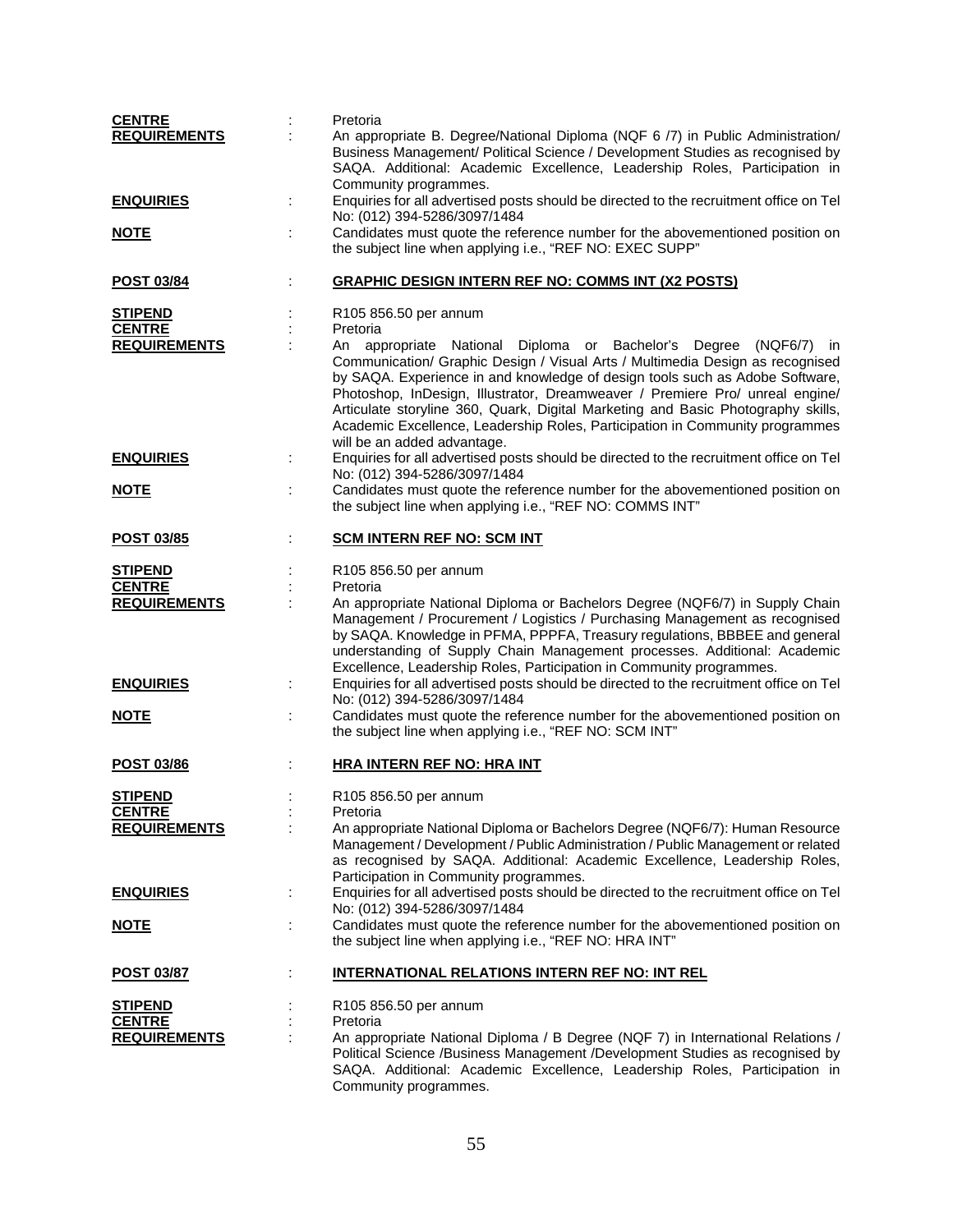| <b>CENTRE</b>       |   | Pretoria                                                                                                                                                                                                                                                                                                                                                                                                                                                                              |
|---------------------|---|---------------------------------------------------------------------------------------------------------------------------------------------------------------------------------------------------------------------------------------------------------------------------------------------------------------------------------------------------------------------------------------------------------------------------------------------------------------------------------------|
| <b>REQUIREMENTS</b> |   | An appropriate B. Degree/National Diploma (NQF 6 /7) in Public Administration/<br>Business Management/ Political Science / Development Studies as recognised by<br>SAQA. Additional: Academic Excellence, Leadership Roles, Participation in                                                                                                                                                                                                                                          |
| <b>ENQUIRIES</b>    |   | Community programmes.<br>Enquiries for all advertised posts should be directed to the recruitment office on Tel<br>No: (012) 394-5286/3097/1484                                                                                                                                                                                                                                                                                                                                       |
| <u>NOTE</u>         |   | Candidates must quote the reference number for the abovementioned position on<br>the subject line when applying i.e., "REF NO: EXEC SUPP"                                                                                                                                                                                                                                                                                                                                             |
| <b>POST 03/84</b>   |   | <b>GRAPHIC DESIGN INTERN REF NO: COMMS INT (X2 POSTS)</b>                                                                                                                                                                                                                                                                                                                                                                                                                             |
| <b>STIPEND</b>      |   | R105 856.50 per annum                                                                                                                                                                                                                                                                                                                                                                                                                                                                 |
| <b>CENTRE</b>       |   | Pretoria                                                                                                                                                                                                                                                                                                                                                                                                                                                                              |
| <b>REQUIREMENTS</b> |   | An appropriate National Diploma or Bachelor's Degree (NQF6/7) in<br>Communication/ Graphic Design / Visual Arts / Multimedia Design as recognised<br>by SAQA. Experience in and knowledge of design tools such as Adobe Software,<br>Photoshop, InDesign, Illustrator, Dreamweaver / Premiere Pro/ unreal engine/<br>Articulate storyline 360, Quark, Digital Marketing and Basic Photography skills,<br>Academic Excellence, Leadership Roles, Participation in Community programmes |
| <b>ENQUIRIES</b>    | ÷ | will be an added advantage.<br>Enquiries for all advertised posts should be directed to the recruitment office on Tel<br>No: (012) 394-5286/3097/1484                                                                                                                                                                                                                                                                                                                                 |
| <b>NOTE</b>         |   | Candidates must quote the reference number for the abovementioned position on<br>the subject line when applying i.e., "REF NO: COMMS INT"                                                                                                                                                                                                                                                                                                                                             |
| <b>POST 03/85</b>   |   | <b>SCM INTERN REF NO: SCM INT</b>                                                                                                                                                                                                                                                                                                                                                                                                                                                     |
| <b>STIPEND</b>      |   | R105 856.50 per annum                                                                                                                                                                                                                                                                                                                                                                                                                                                                 |
| <b>CENTRE</b>       |   | Pretoria                                                                                                                                                                                                                                                                                                                                                                                                                                                                              |
| <b>REQUIREMENTS</b> |   | An appropriate National Diploma or Bachelors Degree (NQF6/7) in Supply Chain<br>Management / Procurement / Logistics / Purchasing Management as recognised<br>by SAQA. Knowledge in PFMA, PPPFA, Treasury regulations, BBBEE and general<br>understanding of Supply Chain Management processes. Additional: Academic<br>Excellence, Leadership Roles, Participation in Community programmes.                                                                                          |
| <b>ENQUIRIES</b>    |   | Enquiries for all advertised posts should be directed to the recruitment office on Tel<br>No: (012) 394-5286/3097/1484                                                                                                                                                                                                                                                                                                                                                                |
| <b>NOTE</b>         |   | Candidates must quote the reference number for the abovementioned position on<br>the subject line when applying i.e., "REF NO: SCM INT"                                                                                                                                                                                                                                                                                                                                               |
| <b>POST 03/86</b>   |   | <u>HRA INTERN REF NO: HRA INT</u>                                                                                                                                                                                                                                                                                                                                                                                                                                                     |
| <b>STIPEND</b>      |   | R <sub>105</sub> 856.50 per annum                                                                                                                                                                                                                                                                                                                                                                                                                                                     |
| <b>CENTRE</b>       |   | Pretoria                                                                                                                                                                                                                                                                                                                                                                                                                                                                              |
| <b>REQUIREMENTS</b> |   | An appropriate National Diploma or Bachelors Degree (NQF6/7): Human Resource<br>Management / Development / Public Administration / Public Management or related<br>as recognised by SAQA. Additional: Academic Excellence, Leadership Roles,<br>Participation in Community programmes.                                                                                                                                                                                                |
| <b>ENQUIRIES</b>    |   | Enquiries for all advertised posts should be directed to the recruitment office on Tel<br>No: (012) 394-5286/3097/1484                                                                                                                                                                                                                                                                                                                                                                |
| <b>NOTE</b>         |   | Candidates must quote the reference number for the abovementioned position on<br>the subject line when applying i.e., "REF NO: HRA INT"                                                                                                                                                                                                                                                                                                                                               |
| <u>POST 03/87</u>   |   | <u>INTERNATIONAL RELATIONS INTERN REF NO: INT REL</u>                                                                                                                                                                                                                                                                                                                                                                                                                                 |
| <b>STIPEND</b>      |   | R105 856.50 per annum                                                                                                                                                                                                                                                                                                                                                                                                                                                                 |
| <b>CENTRE</b>       |   | Pretoria                                                                                                                                                                                                                                                                                                                                                                                                                                                                              |
| <b>REQUIREMENTS</b> |   | An appropriate National Diploma / B Degree (NQF 7) in International Relations /<br>Political Science /Business Management /Development Studies as recognised by<br>SAQA. Additional: Academic Excellence, Leadership Roles, Participation in<br>Community programmes.                                                                                                                                                                                                                 |